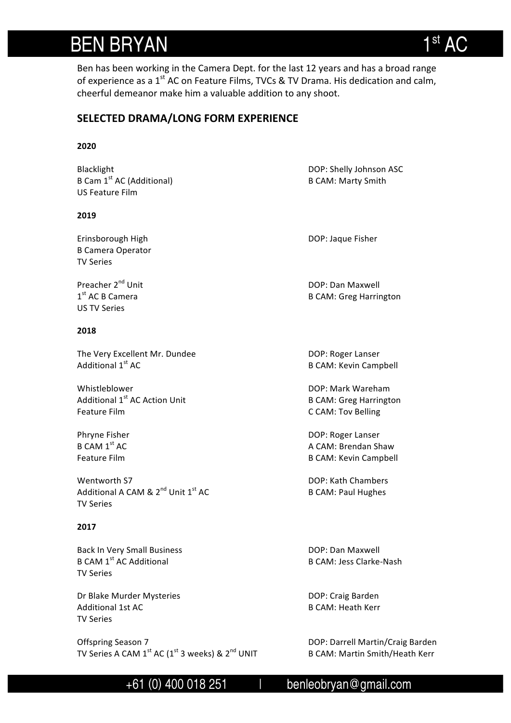# **BEN BRYAN**

Ben has been working in the Camera Dept. for the last 12 years and has a broad range of experience as a  $1<sup>st</sup>$  AC on Feature Films, TVCs & TV Drama. His dedication and calm, cheerful demeanor make him a valuable addition to any shoot.

### **SELECTED DRAMA/LONG FORM EXPERIENCE**

#### **2020**

Blacklight **DOP:** Shelly Johnson ASC B Cam 1<sup>st</sup> AC (Additional) B CAM: Marty Smith US Feature Film

#### **2019**

Erinsborough High **Exercise 2018** DOP: Jaque Fisher **B** Camera Operator TV Series 

US TV Series 

#### **2018**

The Very Excellent Mr. Dundee DOP: Roger Lanser<br>Additional 1<sup>st</sup> AC Additional 1<sup>st</sup> AC

Whistleblower **DOP:** Mark Wareham Additional  $1<sup>st</sup>$  AC Action Unit B CAM: Greg Harrington Feature Film **C** CAM: Tov Belling

Wentworth S7 **DOP:** Kath Chambers Additional A CAM &  $2^{nd}$  Unit  $1^{st}$  AC B CAM: Paul Hughes TV Series 

#### **2017**

Back In Very Small Business **DOP:** Dan Maxwell B CAM 1<sup>st</sup> AC Additional **B** CAM: Jess Clarke-Nash **TV Series** 

Dr Blake Murder Mysteries **DOP:** Craig Barden Additional 1st AC **B** CAM: Heath Kerr TV Series 

Offspring Season 7 and Communication of the DOP: Darrell Martin/Craig Barden TV Series A CAM  $1^{\text{st}}$  AC ( $1^{\text{st}}$  3 weeks) &  $2^{\text{nd}}$  UNIT B CAM: Martin Smith/Heath Kerr

Preacher 2<sup>nd</sup> Unit **DOP:** Dan Maxwell 1st AC B Camera **B** CAM: Greg Harrington

**B CAM: Kevin Campbell** 

Phryne Fisher **DOP:** Roger Lanser B CAM 1<sup>st</sup> AC **A** CAM: Brendan Shaw Feature Film B CAM: Kevin Campbell

 $+61$  (0) 400 018 251 | benleobryan@gmail.com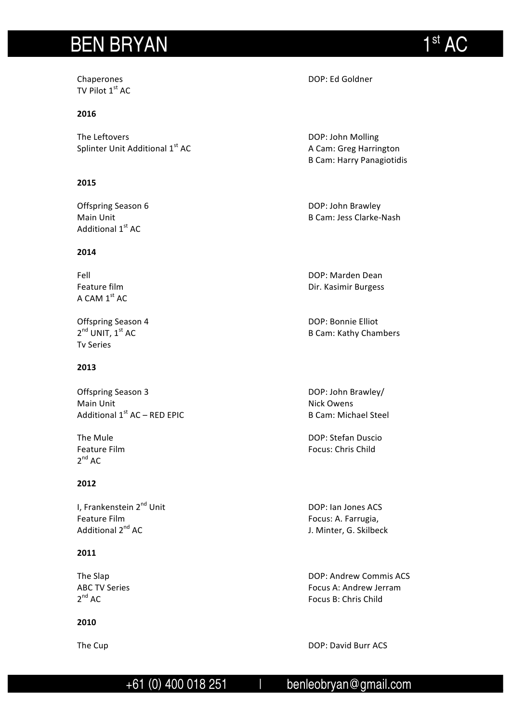# BEN BRYAN 1st 1st

TV Pilot  $1<sup>st</sup>$  AC

#### **2016**

The Leftovers **DOP:** John Molling Splinter Unit Additional 1<sup>st</sup> AC AC A Cam: Greg Harrington

#### **2015**

Additional 1st AC

### **2014**

A CAM  $1<sup>st</sup>$  AC

Offspring Season 4 DOP: Bonnie Elliot<br>  $2^{nd}$  UNIT,  $1^{st}$  AC B Cam: Kathy Chan Tv Series

### **2013**

Offspring Season 3 **DOP:** John Brawley/ Main Unit Nick Owens Additional  $1^{st}$  AC – RED EPIC  $\qquad \qquad$  B Cam: Michael Steel

 $2^{nd}$  AC

#### **2012**

I, Frankenstein 2<sup>nd</sup> Unit DOP: Ian Jones ACS Feature Film **Focus:** A. Farrugia, Focus: A. Farrugia, Focus: A. Farrugia, Focus: A. Farrugia, Focus: A. Farrugia,  $\frac{1}{2}$ 

### **2011**

#### **2010**

Chaperones **DOP:** Ed Goldner

**B Cam: Harry Panagiotidis** 

Offspring Season 6 **DOP:** John Brawley Main Unit **Manual Company of Camera** B Cam: Jess Clarke-Nash

Fell **Fell** DOP: Marden Dean Feature film **Example 2018** Contract Contract Dir. Kasimir Burgess

B Cam: Kathy Chambers

The Mule **The Mule DOP:** Stefan Duscio Feature Film **Focus:** Chris Child

J. Minter, G. Skilbeck

The Slap **DOP:** Andrew Commis ACS ABC TV Series Focus A: Andrew Jerram 2<sup>nd</sup> AC **Focus** B: Chris Child

The Cup DOP: David Burr ACS

## +61 (0) 400 018 251 | benleobryan@gmail.com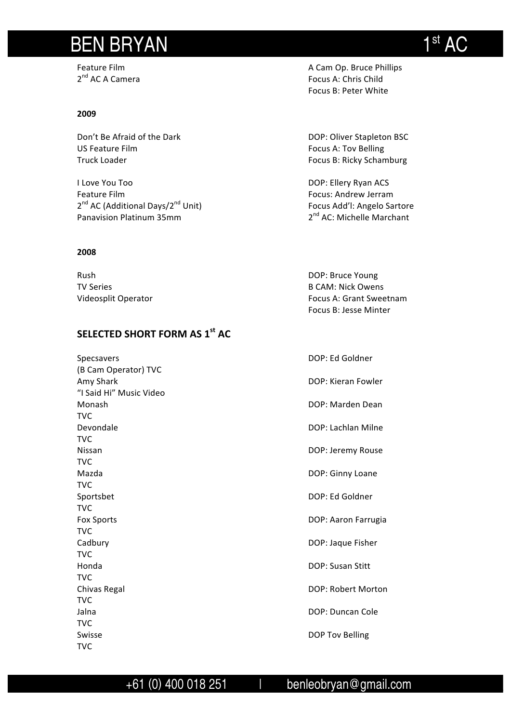# BEN BRYAN 1st AC

#### **2009**

Don't Be Afraid of the Dark DOP: Oliver Stapleton BSC US Feature Film **Focus** A: Tov Belling Truck Loader **Focus** B: Ricky Schamburg

I Love You Too **DOP:** Ellery Ryan ACS Feature Film **Focus:** Andrew Jerram **Focus:** Andrew Jerram 2<sup>nd</sup> AC (Additional Days/2<sup>nd</sup> Unit) Focus Add'l: Angelo Sartore Panavision Platinum 35mm 2nd AC: Michelle Marchant

#### **2008**

| Rush                | DOP: Bruce Young               |
|---------------------|--------------------------------|
| TV Series           | B CAM: Nick Owens              |
| Videosplit Operator | <b>Focus A: Grant Sweetnam</b> |
|                     |                                |

### **SELECTED SHORT FORM AS 1st AC**

| Specsavers              | DOP: Ed Goldner         |
|-------------------------|-------------------------|
| (B Cam Operator) TVC    |                         |
| Amy Shark               | DOP: Kieran Fowler      |
| "I Said Hi" Music Video |                         |
| Monash                  | DOP: Marden Dean        |
| <b>TVC</b>              |                         |
| Devondale               | DOP: Lachlan Milne      |
| <b>TVC</b>              |                         |
| Nissan                  | DOP: Jeremy Rouse       |
| <b>TVC</b>              |                         |
| Mazda                   | DOP: Ginny Loane        |
| <b>TVC</b>              |                         |
| Sportsbet               | DOP: Ed Goldner         |
| <b>TVC</b>              |                         |
| <b>Fox Sports</b>       | DOP: Aaron Farrugia     |
| <b>TVC</b>              |                         |
| Cadbury                 | DOP: Jaque Fisher       |
| <b>TVC</b>              |                         |
| Honda                   | <b>DOP: Susan Stitt</b> |
| <b>TVC</b>              |                         |
| Chivas Regal            | DOP: Robert Morton      |
| <b>TVC</b>              |                         |
| Jalna                   | DOP: Duncan Cole        |
| <b>TVC</b>              |                         |
| Swisse                  | DOP Tov Belling         |
| TVC                     |                         |

Feature Film **Funding Community** Cam Op. Bruce Phillips 2<sup>nd</sup> AC A Camera 2<sup>nd</sup> AC A Camera Focus A: Chris Child Focus B: Peter White

Focus B: Jesse Minter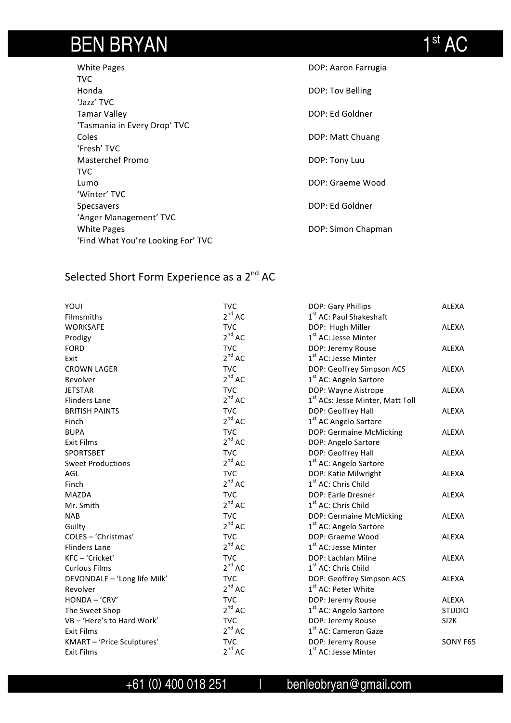# BEN BRYAN 1st AC

| <b>White Pages</b>                 | DOP: Aaron Farrugia |
|------------------------------------|---------------------|
| TVC                                |                     |
| Honda                              | DOP: Tov Belling    |
| 'Jazz' TVC                         |                     |
| Tamar Valley                       | DOP: Ed Goldner     |
| 'Tasmania in Every Drop' TVC       |                     |
| Coles                              | DOP: Matt Chuang    |
| 'Fresh' TVC                        |                     |
| Masterchef Promo                   | DOP: Tony Luu       |
| TVC                                |                     |
| Lumo                               | DOP: Graeme Wood    |
| 'Winter' TVC                       |                     |
| Specsavers                         | DOP: Ed Goldner     |
| 'Anger Management' TVC             |                     |
| <b>White Pages</b>                 | DOP: Simon Chapman  |
| 'Find What You're Looking For' TVC |                     |

## Selected Short Form Experience as a 2<sup>nd</sup> AC

| YOUI                         | <b>TVC</b>  | DOP: Gary Phillips                           | <b>ALEXA</b>      |
|------------------------------|-------------|----------------------------------------------|-------------------|
| Filmsmiths                   | $2^{nd}$ AC | 1 <sup>st</sup> AC: Paul Shakeshaft          |                   |
| <b>WORKSAFE</b>              | <b>TVC</b>  | DOP: Hugh Miller                             | <b>ALEXA</b>      |
| Prodigy                      | $2^{nd}$ AC | 1 <sup>st</sup> AC: Jesse Minter             |                   |
| <b>FORD</b>                  | <b>TVC</b>  | DOP: Jeremy Rouse                            | <b>ALEXA</b>      |
| Exit                         | $2^{nd}$ AC | 1 <sup>st</sup> AC: Jesse Minter             |                   |
| <b>CROWN LAGER</b>           | <b>TVC</b>  | DOP: Geoffrey Simpson ACS                    | <b>ALEXA</b>      |
| Revolver                     | $2^{nd}$ AC | 1 <sup>st</sup> AC: Angelo Sartore           |                   |
| <b>JETSTAR</b>               | <b>TVC</b>  | DOP: Wayne Aistrope                          | <b>ALEXA</b>      |
| <b>Flinders Lane</b>         | $2^{nd}$ AC | 1 <sup>st</sup> ACs: Jesse Minter, Matt Toll |                   |
| <b>BRITISH PAINTS</b>        | <b>TVC</b>  | DOP: Geoffrey Hall                           | <b>ALEXA</b>      |
| Finch                        | $2^{nd}$ AC | 1 <sup>st</sup> AC Angelo Sartore            |                   |
| <b>BUPA</b>                  | <b>TVC</b>  | DOP: Germaine McMicking                      | <b>ALEXA</b>      |
| <b>Exit Films</b>            | $2^{nd}$ AC | DOP: Angelo Sartore                          |                   |
| <b>SPORTSBET</b>             | <b>TVC</b>  | DOP: Geoffrey Hall                           | <b>ALEXA</b>      |
| <b>Sweet Productions</b>     | $2^{nd}$ AC | 1 <sup>st</sup> AC: Angelo Sartore           |                   |
| AGL                          | <b>TVC</b>  | DOP: Katie Milwright                         | <b>ALEXA</b>      |
| Finch                        | $2^{nd}$ AC | 1 <sup>st</sup> AC: Chris Child              |                   |
| <b>MAZDA</b>                 | <b>TVC</b>  | DOP: Earle Dresner                           | <b>ALEXA</b>      |
| Mr. Smith                    | $2^{nd}$ AC | 1 <sup>st</sup> AC: Chris Child              |                   |
| <b>NAB</b>                   | <b>TVC</b>  | DOP: Germaine McMicking                      | <b>ALEXA</b>      |
| Guilty                       | $2^{nd}$ AC | 1 <sup>st</sup> AC: Angelo Sartore           |                   |
| COLES - 'Christmas'          | <b>TVC</b>  | DOP: Graeme Wood                             | <b>ALEXA</b>      |
| <b>Flinders Lane</b>         | $2^{nd}$ AC | 1 <sup>st</sup> AC: Jesse Minter             |                   |
| KFC-'Cricket'                | <b>TVC</b>  | DOP: Lachlan Milne                           | <b>ALEXA</b>      |
| <b>Curious Films</b>         | $2^{nd}$ AC | 1 <sup>st</sup> AC: Chris Child              |                   |
| DEVONDALE - 'Long life Milk' | <b>TVC</b>  | DOP: Geoffrey Simpson ACS                    | <b>ALEXA</b>      |
| Revolver                     | $2^{nd}$ AC | 1 <sup>st</sup> AC: Peter White              |                   |
| HONDA - 'CRV'                | <b>TVC</b>  | DOP: Jeremy Rouse                            | <b>ALEXA</b>      |
| The Sweet Shop               | $2^{nd}$ AC | 1 <sup>st</sup> AC: Angelo Sartore           | <b>STUDIO</b>     |
| VB-'Here's to Hard Work'     | <b>TVC</b>  | DOP: Jeremy Rouse                            | SI <sub>2</sub> K |
| <b>Exit Films</b>            | $2^{nd}$ AC | 1 <sup>st</sup> AC: Cameron Gaze             |                   |
| KMART - 'Price Sculptures'   | <b>TVC</b>  | DOP: Jeremy Rouse                            | SONY F65          |
| <b>Exit Films</b>            | $2^{nd}$ AC | 1 <sup>st</sup> AC: Jesse Minter             |                   |